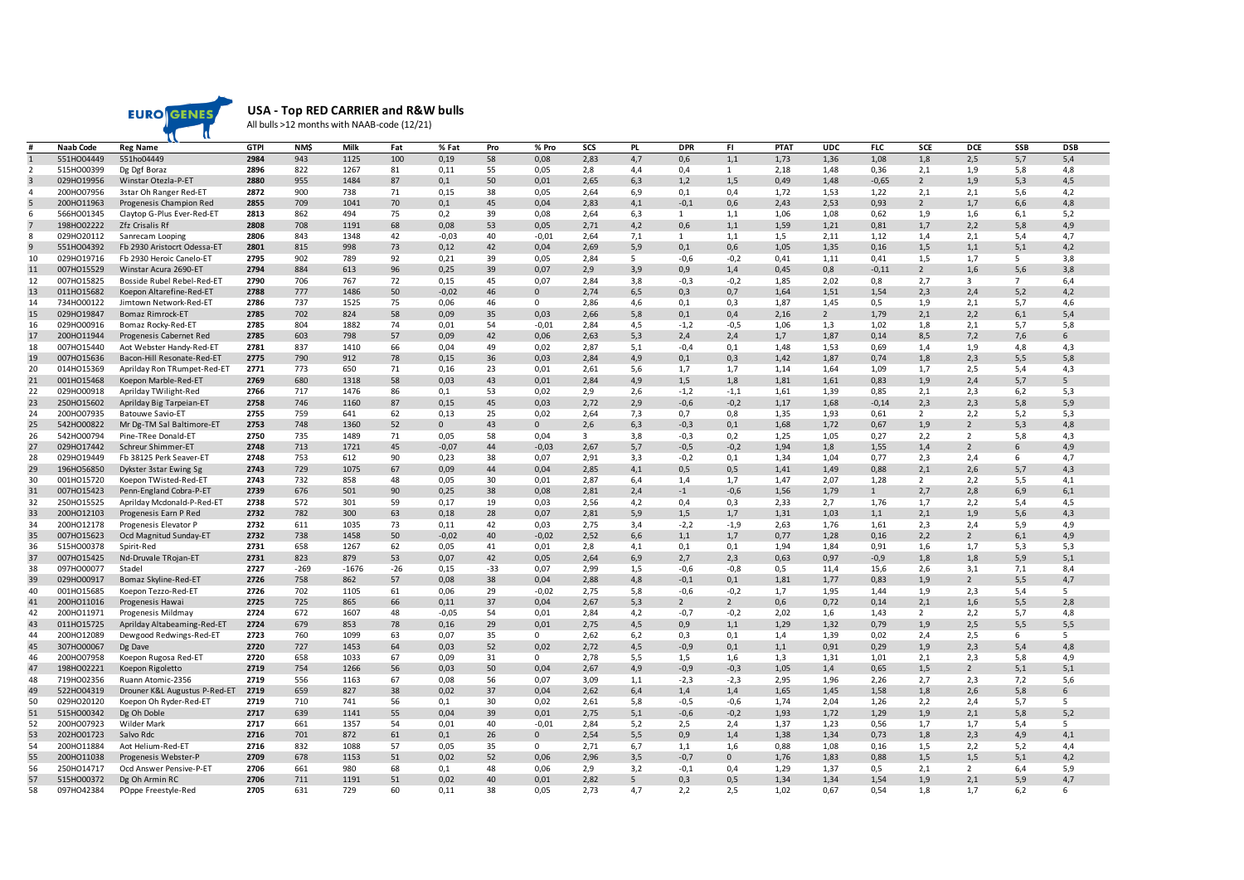

**USA - Top RED CARRIER and R&W bulls**

All bulls >12 months with NAAB-code (12/21)

|                | Naab Code  | <b>Reg Name</b>               | <b>GTPI</b> | NM\$   | Milk    | Fat   | % Fat        | Pro   | % Pro    | SCS          | <b>PL</b> | <b>DPR</b>    | FI.            | <b>PTAT</b> | <b>UDC</b>     | <b>FLC</b>   | SCE            | <b>DCE</b>     | SSB             | <b>DSB</b> |
|----------------|------------|-------------------------------|-------------|--------|---------|-------|--------------|-------|----------|--------------|-----------|---------------|----------------|-------------|----------------|--------------|----------------|----------------|-----------------|------------|
| $\mathbf{1}$   | 551HO04449 | 551ho04449                    | 2984        | 943    | 1125    | 100   | 0,19         | 58    | 0,08     | 2,83         | 4,7       | 0,6           | 1,1            | 1,73        | 1,36           | 1,08         | 1,8            | 2,5            | 5,7             | 5,4        |
| 2              | 515HO00399 | Dg Dgf Boraz                  | 2896        | 822    | 1267    | 81    | 0,11         | 55    | 0,05     | 2,8          | 4,4       | 0,4           | $\mathbf{1}$   | 2,18        | 1,48           | 0,36         | 2,1            | 1,9            | 5,8             | 4,8        |
| $\overline{3}$ | 029HO19956 | Winstar Otezla-P-ET           | 2880        | 955    | 1484    | 87    | 0,1          | 50    | 0,01     | 2,65         | 6,3       | 1,2           | 1,5            | 0,49        | 1,48           | $-0,65$      | $\overline{2}$ | 1,9            | 5,3             | 4,5        |
| 4              | 200HO07956 | 3star Oh Ranger Red-ET        | 2872        | 900    | 738     | 71    | 0,15         | 38    | 0,05     | 2,64         | 6,9       | 0,1           | 0,4            | 1,72        | 1,53           | 1,22         | 2,1            | 2,1            | 5,6             | 4,2        |
| 5              | 200HO11963 | Progenesis Champion Red       | 2855        | 709    | 1041    | 70    | 0,1          | 45    | 0,04     | 2,83         | 4,1       | $-0,1$        | 0,6            | 2,43        | 2,53           | 0,93         | $\overline{2}$ | 1,7            | 6,6             | 4,8        |
| 6              | 566HO01345 | Claytop G-Plus Ever-Red-ET    | 2813        | 862    | 494     | 75    | 0,2          | 39    | 0,08     | 2,64         | 6,3       | 1             | 1,1            | 1,06        | 1,08           | 0,62         | 1,9            | 1,6            | 6,1             | 5,2        |
| $\overline{7}$ | 198HO02222 | Zfz Crisalis Rf               | 2808        | 708    | 1191    | 68    | 0,08         | 53    | 0,05     | 2,71         | 4,2       | 0,6           | 1,1            | 1,59        | 1,21           | 0,81         | 1,7            | 2,2            | 5,8             | 4,9        |
| 8              | 029HO20112 | Sanrecam Looping              | 2806        | 843    | 1348    | 42    | $-0,03$      | 40    | $-0,01$  | 2,64         | 7,1       | 1             | 1,1            | 1,5         | 2,11           | 1,12         | 1,4            | 2,1            | 5,4             | 4,7        |
| $\overline{9}$ | 551HO04392 | Fb 2930 Aristocrt Odessa-ET   | 2801        | 815    | 998     | 73    | 0,12         | 42    | 0,04     | 2,69         | 5,9       | 0,1           | 0,6            | 1,05        | 1,35           | 0,16         | 1,5            | 1,1            | 5,1             | 4,2        |
| 10             | 029HO19716 | Fb 2930 Heroic Canelo-ET      | 2795        | 902    | 789     | 92    | 0,21         | 39    | 0,05     | 2,84         | 5         | $-0,6$        | $-0,2$         | 0,41        | 1,11           | 0,41         | 1,5            | 1,7            | 5               | 3,8        |
| 11             | 007HO15529 | Winstar Acura 2690-ET         | 2794        | 884    | 613     | 96    | 0,25         | 39    | 0,07     | 2,9          | 3,9       | 0,9           | 1,4            | 0,45        | 0,8            | $-0,11$      | $\overline{2}$ | 1,6            | 5,6             | 3,8        |
| 12             | 007HO15825 | Bosside Rubel Rebel-Red-ET    | 2790        | 706    | 767     | 72    | 0,15         | 45    | 0,07     | 2,84         | 3,8       | $-0,3$        | $-0,2$         | 1,85        | 2,02           | 0,8          | 2,7            | 3              | $7\overline{ }$ | 6,4        |
| 13             | 011HO15682 | Koepon Altarefine-Red-ET      | 2788        | 777    | 1486    | 50    | $-0,02$      | 46    | $\Omega$ | 2,74         | 6,5       | 0,3           | 0,7            | 1,64        | 1,51           | 1,54         | 2,3            | 2,4            | 5,2             | 4,2        |
| 14             | 734HO00122 | Jimtown Network-Red-ET        | 2786        | 737    | 1525    | 75    | 0,06         | 46    | $\Omega$ | 2,86         | 4,6       | 0,1           | 0,3            | 1,87        | 1,45           | 0,5          | 1,9            | 2,1            | 5,7             | 4,6        |
| 15             | 029HO19847 | <b>Bomaz Rimrock-ET</b>       | 2785        | 702    | 824     | 58    | 0,09         | 35    | 0,03     | 2,66         | 5,8       | 0,1           | 0,4            | 2,16        | $\overline{2}$ | 1,79         | 2,1            | 2,2            | 6,1             | 5,4        |
| 16             | 029HO00916 | Bomaz Rocky-Red-ET            | 2785        | 804    | 1882    | 74    | 0,01         | 54    | $-0,01$  | 2,84         | 4,5       | $-1,2$        | $-0,5$         | 1,06        | 1,3            | 1,02         | 1,8            | 2,1            | 5,7             | 5,8        |
| 17             | 200HO11944 |                               | 2785        | 603    | 798     | 57    | 0,09         | 42    | 0,06     | 2,63         | 5,3       | 2,4           | 2,4            |             | 1,87           | 0,14         | 8,5            | 7,2            |                 | 6          |
| 18             | 007HO15440 | Progenesis Cabernet Red       | 2781        | 837    | 1410    | 66    | 0,04         | 49    | 0,02     | 2,87         |           |               | 0,1            | 1,7<br>1,48 | 1,53           | 0,69         | 1,4            | 1,9            | 7,6             | 4,3        |
| 19             | 007HO15636 | Aot Webster Handy-Red-ET      | 2775        | 790    | 912     | 78    |              | 36    | 0.03     |              | 5,1       | $-0,4$<br>0.1 |                | 1.42        | 1.87           |              |                |                | 4,8             | 5,8        |
| 20             | 014HO15369 | Bacon-Hill Resonate-Red-ET    | 2771        | 773    | 650     | 71    | 0,15<br>0.16 | 23    | 0.01     | 2,84<br>2.61 | 4,9       |               | 0,3<br>1.7     | 1.14        | 1.64           | 0,74         | 1,8            | 2,3            | 5,5             |            |
|                |            | Aprilday Ron TRumpet-Red-ET   |             |        |         |       |              |       |          |              | 5,6       | 1,7           |                |             |                | 1,09         | 1,7            | 2,5            | 5,4             | 4,3        |
| 21             | 001HO15468 | Koepon Marble-Red-ET          | 2769        | 680    | 1318    | 58    | 0,03         | 43    | 0,01     | 2,84         | 4,9       | 1,5           | 1,8            | 1,81        | 1,61           | 0,83         | 1,9            | 2,4            | 5,7             | 5          |
| 22             | 029HO00918 | Aprilday TWilight-Red         | 2766        | 717    | 1476    | 86    | 0,1          | 53    | 0,02     | 2,9          | 2,6       | $-1,2$        | $-1,1$         | 1,61        | 1,39           | 0,85         | 2,1            | 2,3            | 6,2             | 5,3        |
| 23             | 250HO15602 | Aprilday Big Tarpeian-ET      | 2758        | 746    | 1160    | 87    | 0,15         | 45    | 0,03     | 2,72         | 2,9       | $-0,6$        | $-0,2$         | 1,17        | 1,68           | $-0,14$      | 2,3            | 2,3            | 5,8             | 5,9        |
| 24             | 200HO07935 | <b>Batouwe Savio-ET</b>       | 2755        | 759    | 641     | 62    | 0,13         | 25    | 0,02     | 2,64         | 7,3       | 0,7           | 0,8            | 1,35        | 1,93           | 0,61         | 2              | 2,2            | 5,2             | 5,3        |
| 25             | 542HO00822 | Mr Dg-TM Sal Baltimore-ET     | 2753        | 748    | 1360    | 52    | $\mathbf 0$  | 43    | $\Omega$ | 2,6          | 6,3       | $-0,3$        | 0,1            | 1,68        | 1,72           | 0,67         | 1,9            | $\overline{2}$ | 5,3             | 4,8        |
| 26             | 542HO00794 | Pine-TRee Donald-ET           | 2750        | 735    | 1489    | 71    | 0,05         | 58    | 0,04     | 3            | 3,8       | $-0,3$        | 0,2            | 1,25        | 1,05           | 0,27         | 2,2            | 2              | 5,8             | 4,3        |
| 27             | 029HO17442 | Schreur Shimmer-ET            | 2748        | 713    | 1721    | 45    | $-0,07$      | 44    | $-0,03$  | 2,67         | 5,7       | $-0,5$        | $-0,2$         | 1,94        | 1,8            | 1,55         | 1,4            | $\overline{2}$ | 6               | 4,9        |
| 28             | 029HO19449 | Fb 38125 Perk Seaver-ET       | 2748        | 753    | 612     | 90    | 0,23         | 38    | 0,07     | 2,91         | 3,3       | $-0,2$        | 0,1            | 1,34        | 1,04           | 0,77         | 2,3            | 2,4            | 6               | 4,7        |
| 29             | 196HO56850 | Dykster 3star Ewing Sg        | 2743        | 729    | 1075    | 67    | 0,09         | 44    | 0,04     | 2,85         | 4,1       | 0,5           | 0,5            | 1,41        | 1,49           | 0,88         | 2,1            | 2,6            | 5,7             | 4,3        |
| 30             | 001HO15720 | Koepon TWisted-Red-ET         | 2743        | 732    | 858     | 48    | 0,05         | 30    | 0,01     | 2,87         | 6,4       | 1,4           | 1,7            | 1,47        | 2,07           | 1,28         | $\overline{2}$ | 2,2            | 5,5             | 4,1        |
| 31             | 007HO15423 | Penn-England Cobra-P-ET       | 2739        | 676    | 501     | 90    | 0,25         | 38    | 0,08     | 2,81         | 2,4       | $-1$          | $-0,6$         | 1,56        | 1,79           | $\mathbf{1}$ | 2,7            | 2,8            | 6,9             | 6,1        |
| 32             | 250HO15525 | Aprilday Mcdonald-P-Red-ET    | 2738        | 572    | 301     | 59    | 0,17         | 19    | 0,03     | 2,56         | 4,2       | 0,4           | 0,3            | 2,33        | 2,7            | 1,76         | 1,7            | 2,2            | 5,4             | 4,5        |
| 33             | 200HO12103 | Progenesis Earn P Red         | 2732        | 782    | 300     | 63    | 0,18         | 28    | 0,07     | 2,81         | 5,9       | 1,5           | 1,7            | 1,31        | 1,03           | 1,1          | 2,1            | 1,9            | 5,6             | 4,3        |
| 34             | 200HO12178 | Progenesis Elevator P         | 2732        | 611    | 1035    | 73    | 0,11         | 42    | 0,03     | 2,75         | 3,4       | $-2,2$        | $-1,9$         | 2,63        | 1,76           | 1,61         | 2,3            | 2,4            | 5,9             | 4,9        |
| 35             | 007HO15623 | Ocd Magnitud Sunday-ET        | 2732        | 738    | 1458    | 50    | $-0,02$      | 40    | $-0,02$  | 2,52         | 6,6       | 1,1           | 1,7            | 0,77        | 1,28           | 0,16         | 2,2            | $\overline{2}$ | 6,1             | 4,9        |
| 36             | 515HO00378 | Spirit-Red                    | 2731        | 658    | 1267    | 62    | 0,05         | 41    | 0,01     | 2,8          | 4,1       | 0,1           | 0,1            | 1,94        | 1,84           | 0,91         | 1,6            | 1,7            | 5,3             | 5,3        |
| 37             | 007HO15425 | Nd-Druvale TRojan-ET          | 2731        | 823    | 879     | 53    | 0,07         | 42    | 0,05     | 2,64         | 6,9       | 2,7           | 2,3            | 0,63        | 0,97           | $-0,9$       | 1,8            | 1,8            | 5,9             | 5,1        |
| 38             | 097HO00077 | Stadel                        | 2727        | $-269$ | $-1676$ | $-26$ | 0,15         | $-33$ | 0,07     | 2,99         | 1,5       | $-0,6$        | $-0,8$         | 0,5         | 11,4           | 15,6         | 2,6            | 3,1            | 7,1             | 8,4        |
| 39             | 029HO00917 | Bomaz Skyline-Red-ET          | 2726        | 758    | 862     | 57    | 0,08         | 38    | 0,04     | 2,88         | 4,8       | $-0,1$        | 0,1            | 1,81        | 1,77           | 0,83         | 1,9            | 2              | 5,5             | 4,7        |
| 40             | 001HO15685 | Koepon Tezzo-Red-ET           | 2726        | 702    | 1105    | 61    | 0,06         | 29    | $-0,02$  | 2,75         | 5,8       | $-0,6$        | $-0,2$         | 1,7         | 1,95           | 1,44         | 1,9            | 2,3            | 5,4             | 5          |
| 41             | 200HO11016 | Progenesis Hawai              | 2725        | 725    | 865     | 66    | 0,11         | 37    | 0,04     | 2,67         | 5,3       | 2             | $\overline{2}$ | 0,6         | 0,72           | 0,14         | 2,1            | 1,6            | 5,5             | 2,8        |
| 42             | 200HO11971 | Progenesis Mildmay            | 2724        | 672    | 1607    | 48    | $-0,05$      | 54    | 0,01     | 2,84         | 4,2       | $-0,7$        | $-0,2$         | 2,02        | 1,6            | 1,43         | $\overline{2}$ | 2,2            | 5,7             | 4,8        |
| 43             | 011HO15725 | Aprilday Altabeaming-Red-ET   | 2724        | 679    | 853     | 78    | 0,16         | 29    | 0,01     | 2,75         | 4,5       | 0,9           | 1,1            | 1,29        | 1,32           | 0,79         | 1,9            | 2,5            | 5,5             | 5,5        |
| 44             | 200HO12089 | Dewgood Redwings-Red-ET       | 2723        | 760    | 1099    | 63    | 0,07         | 35    | $\Omega$ | 2,62         | 6,2       | 0,3           | 0,1            | 1,4         | 1,39           | 0,02         | 2,4            | 2,5            | 6               | 5          |
| 45             | 307HO00067 | Dg Dave                       | 2720        | 727    | 1453    | 64    | 0,03         | 52    | 0,02     | 2,72         | 4,5       | $-0,9$        | 0,1            | 1,1         | 0,91           | 0,29         | 1,9            | 2,3            | 5,4             | 4,8        |
| 46             | 200HO07958 | Koepon Rugosa Red-ET          | 2720        | 658    | 1033    | 67    | 0.09         | 31    | $\Omega$ | 2,78         | 5,5       | 1,5           | 1,6            | 1,3         | 1,31           | 1.01         | 2,1            | 2,3            | 5,8             | 4,9        |
| 47             | 198HO02221 | Koepon Rigoletto              | 2719        | 754    | 1266    | 56    | 0,03         | 50    | 0,04     | 2,67         | 4,9       | $-0,9$        | $-0,3$         | 1,05        | 1,4            | 0,65         | 1,5            | 2              | 5,1             | 5,1        |
| 48             | 719HO02356 | Ruann Atomic-2356             | 2719        | 556    | 1163    | 67    | 0,08         | 56    | 0,07     | 3,09         | 1,1       | $-2,3$        | $-2,3$         | 2,95        | 1,96           | 2,26         | 2,7            | 2,3            | 7,2             | 5,6        |
| 49             | 522HO04319 | Drouner K&L Augustus P-Red-ET | 2719        | 659    | 827     | 38    | 0,02         | 37    | 0,04     | 2,62         | 6,4       | 1,4           | 1,4            | 1,65        | 1,45           | 1,58         | 1,8            | 2,6            | 5,8             | 6          |
| 50             | 029HO20120 | Koepon Oh Ryder-Red-ET        | 2719        | 710    | 741     | 56    | 0,1          | 30    | 0,02     | 2,61         | 5,8       | $-0,5$        | $-0,6$         | 1,74        | 2,04           | 1,26         | 2,2            | 2,4            | 5,7             | 5          |
| 51             | 515HO00342 | Dg Oh Doble                   | 2717        | 639    | 1141    | 55    | 0,04         | 39    | 0,01     | 2,75         | 5,1       | $-0,6$        | $-0,2$         | 1,93        | 1,72           | 1,29         | 1,9            | 2,1            | 5,8             | 5,2        |
| 52             | 200HO07923 | <b>Wilder Mark</b>            | 2717        | 661    | 1357    | 54    | 0,01         | 40    | $-0,01$  | 2,84         | 5,2       | 2,5           | 2,4            | 1,37        | 1,23           | 0,56         | 1,7            | 1,7            | 5,4             | 5          |
| 53             | 202HO01723 | Salvo Rdc                     | 2716        | 701    | 872     | 61    | 0,1          | 26    | $\Omega$ | 2,54         | 5,5       | 0,9           | 1,4            | 1,38        | 1,34           | 0,73         | 1,8            | 2,3            | 4,9             | 4,1        |
| 54             | 200HO11884 | Aot Helium-Red-ET             | 2716        | 832    | 1088    | 57    | 0,05         | 35    | $\Omega$ | 2,71         | 6,7       | 1,1           | 1,6            | 0,88        | 1,08           | 0,16         | 1,5            | 2,2            | 5,2             | 4,4        |
| 55             | 200HO11038 | Progenesis Webster-P          | 2709        | 678    | 1153    | 51    | 0,02         | 52    | 0,06     | 2,96         | 3,5       | $-0,7$        | $\mathbf{0}$   | 1,76        | 1,83           | 0,88         | 1,5            | 1,5            | 5,1             | 4,2        |
| 56             | 250HO14717 | Ocd Answer Pensive-P-ET       | 2706        | 661    | 980     | 68    | 0,1          | 48    | 0,06     | 2,9          | 3,2       | $-0,1$        | 0,4            | 1,29        | 1,37           | 0,5          | 2,1            | $\overline{2}$ | 6,4             | 5,9        |
| 57             | 515HO00372 | Dg Oh Armin RC                | 2706        | 711    | 1191    | 51    | 0,02         | 40    | 0,01     | 2,82         | 5         | 0,3           | 0,5            | 1,34        | 1,34           | 1,54         | 1,9            | 2,1            | 5,9             | 4,7        |
| 58             | 097HO42384 | POppe Freestyle-Red           | 2705        | 631    | 729     | 60    | 0,11         | 38    | 0,05     | 2,73         | 4,7       | 2,2           | 2,5            | 1,02        | 0,67           | 0,54         | 1,8            | 1,7            | 6,2             | 6          |
|                |            |                               |             |        |         |       |              |       |          |              |           |               |                |             |                |              |                |                |                 |            |